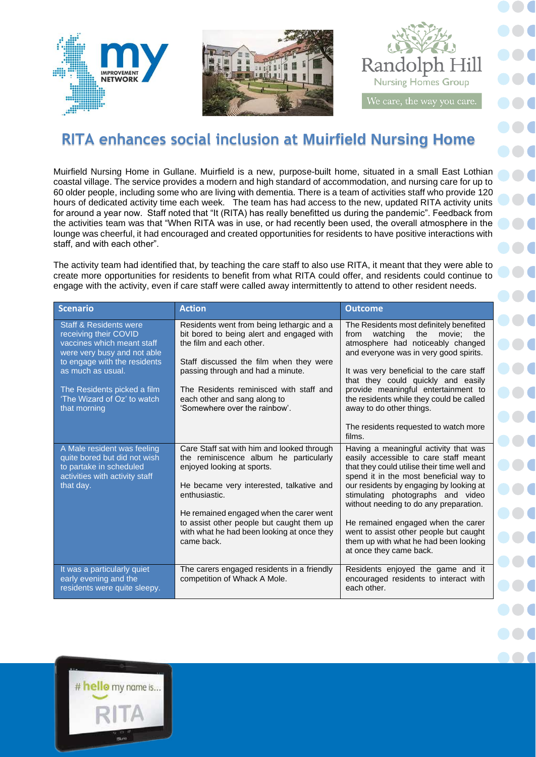

## **RITA enhances social inclusion at Muirfield Nursing Home**

Muirfield Nursing Home in Gullane. Muirfield is a new, purpose-built home, situated in a small East Lothian coastal village. The service provides a modern and high standard of accommodation, and nursing care for up to 60 older people, including some who are living with dementia. There is a team of activities staff who provide 120 hours of dedicated activity time each week. The team has had access to the new, updated RITA activity units for around a year now. Staff noted that "It (RITA) has really benefitted us during the pandemic". Feedback from the activities team was that "When RITA was in use, or had recently been used, the overall atmosphere in the lounge was cheerful, it had encouraged and created opportunities for residents to have positive interactions with staff, and with each other".

The activity team had identified that, by teaching the care staff to also use RITA, it meant that they were able to create more opportunities for residents to benefit from what RITA could offer, and residents could continue to engage with the activity, even if care staff were called away intermittently to attend to other resident needs.

| <b>Scenario</b>                                                                                                                                                                                                                                            | <b>Action</b>                                                                                                                                                                                                                                                                                                                       | <b>Outcome</b>                                                                                                                                                                                                                                                                                                                                                                                                                                                  |
|------------------------------------------------------------------------------------------------------------------------------------------------------------------------------------------------------------------------------------------------------------|-------------------------------------------------------------------------------------------------------------------------------------------------------------------------------------------------------------------------------------------------------------------------------------------------------------------------------------|-----------------------------------------------------------------------------------------------------------------------------------------------------------------------------------------------------------------------------------------------------------------------------------------------------------------------------------------------------------------------------------------------------------------------------------------------------------------|
| <b>Staff &amp; Residents were</b><br>receiving their COVID<br>vaccines which meant staff<br>were very busy and not able<br>to engage with the residents<br>as much as usual.<br>The Residents picked a film<br>'The Wizard of Oz' to watch<br>that morning | Residents went from being lethargic and a<br>bit bored to being alert and engaged with<br>the film and each other.<br>Staff discussed the film when they were<br>passing through and had a minute.<br>The Residents reminisced with staff and<br>each other and sang along to<br>'Somewhere over the rainbow'.                      | The Residents most definitely benefited<br>watching<br>the<br>from<br>movie:<br>the<br>atmosphere had noticeably changed<br>and everyone was in very good spirits.<br>It was very beneficial to the care staff<br>that they could quickly and easily<br>provide meaningful entertainment to<br>the residents while they could be called<br>away to do other things.<br>The residents requested to watch more                                                    |
| A Male resident was feeling<br>quite bored but did not wish<br>to partake in scheduled<br>activities with activity staff<br>that day.                                                                                                                      | Care Staff sat with him and looked through<br>the reminiscence album he particularly<br>enjoyed looking at sports.<br>He became very interested, talkative and<br>enthusiastic.<br>He remained engaged when the carer went<br>to assist other people but caught them up<br>with what he had been looking at once they<br>came back. | films.<br>Having a meaningful activity that was<br>easily accessible to care staff meant<br>that they could utilise their time well and<br>spend it in the most beneficial way to<br>our residents by engaging by looking at<br>stimulating photographs and video<br>without needing to do any preparation.<br>He remained engaged when the carer<br>went to assist other people but caught<br>them up with what he had been looking<br>at once they came back. |
| It was a particularly quiet<br>early evening and the<br>residents were quite sleepy.                                                                                                                                                                       | The carers engaged residents in a friendly<br>competition of Whack A Mole.                                                                                                                                                                                                                                                          | Residents enjoyed the game and it<br>encouraged residents to interact with<br>each other.                                                                                                                                                                                                                                                                                                                                                                       |